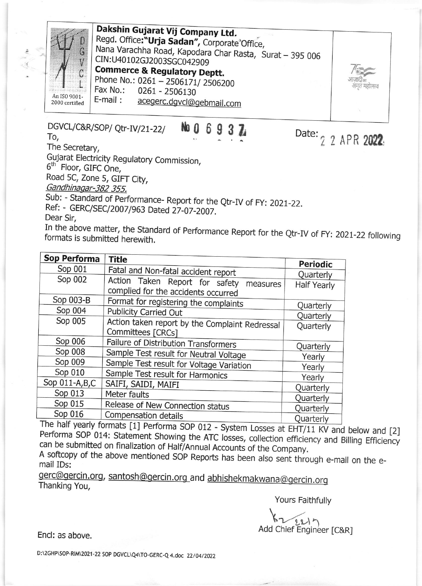

Dakshin Gujarat Vij Company Ltd. Regd. Office:"Urja Sadan", Corporate Office, Nana Varachha Road, Kapodara Char Rasta, Surat - 395 006 CIN:U40102GJ2003SGC042909 **Commerce & Regulatory Deptt.** Phone No.: 0261 - 2506171/2506200 Fax No.: 0261 - 2506130

Date: 2 2 APR 2022

 $E$ -mail: acegerc.dgvcl@gebmail.com

## DGVCL/C&R/SOP/ Qtr-IV/21-22/ To,

The Secretary,

Gujarat Electricity Regulatory Commission, 6<sup>th</sup> Floor, GIFC One,

Road 5C, Zone 5, GIFT City,

Gandhinagar-382 355.

Sub: - Standard of Performance- Report for the Qtr-IV of FY: 2021-22.

Ref: - GERC/SEC/2007/963 Dated 27-07-2007.

Dear Sir.

In the above matter, the Standard of Performance Report for the Qtr-IV of FY: 2021-22 following formats is submitted herewith.

| Sop Performa<br><b>Title</b>                                                                                   | <b>Periodic</b>    |  |  |
|----------------------------------------------------------------------------------------------------------------|--------------------|--|--|
| Sop 001<br>Fatal and Non-fatal accident report                                                                 | Quarterly          |  |  |
| Sop 002<br>Action Taken Report for safety<br>measures                                                          | <b>Half Yearly</b> |  |  |
| complied for the accidents occurred                                                                            |                    |  |  |
| Sop 003-B<br>Format for registering the complaints                                                             |                    |  |  |
| Sop 004<br>Publicity Carried Out                                                                               | Quarterly          |  |  |
|                                                                                                                | Quarterly          |  |  |
| Sop 005<br>Action taken report by the Complaint Redressal                                                      | Quarterly          |  |  |
| Committees [CRCs]                                                                                              |                    |  |  |
| Sop 006<br>Failure of Distribution Transformers                                                                | Quarterly          |  |  |
| Sop 008<br>Sample Test result for Neutral Voltage                                                              |                    |  |  |
| Sop 009                                                                                                        | Yearly             |  |  |
| Sample Test result for Voltage Variation                                                                       | Yearly             |  |  |
| Sop 010<br>Sample Test result for Harmonics                                                                    | Yearly             |  |  |
| Sop 011-A, B, C<br>SAIFI, SAIDI, MAIFI                                                                         | Quarterly          |  |  |
| Sop 013<br>Meter faults                                                                                        |                    |  |  |
| Sop 015<br>Release of New Connection status                                                                    | Quarterly          |  |  |
| Sop 016                                                                                                        | Quarterly          |  |  |
| Compensation details<br>$T_{\text{max}}$ $\frac{1}{2}$ $\frac{1}{2}$ $\frac{1}{2}$ $\frac{1}{2}$<br>$\epsilon$ | Quarterly          |  |  |

The half yearly formats [1] Performa SOP 012 - System Losses at EHT/11 KV and below and [2] Performa SOP 014: Statement Showing the ATC losses, collection efficiency and Billing Efficiency can be submitted on finalization of Half/Annual Accounts of the Company.

A softcopy of the above mentioned SOP Reports has been also sent through e-mail on the email IDs:

gerc@gercin.org, santosh@gercin.org\_and abhishekmakwana@gercin.org Thanking You,

Yours Faithfully

 $221n$ Add Chief Engineer [C&R]

Encl: as above.

D:\2GHP\SOP-RIM\2021-22 SOP DGVCL\Q4\TO-GERC-Q 4.doc 22/04/2022